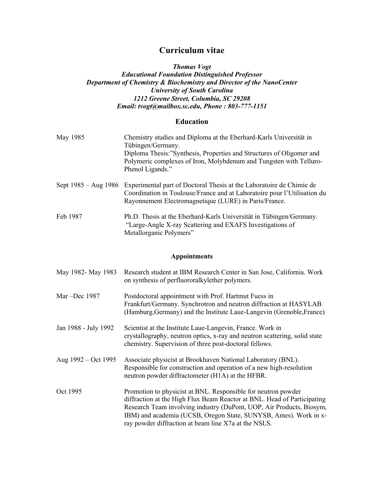# **Curriculum vitae**

## *Thomas Vogt Educational Foundation Distinguished Professor Department of Chemistry & Biochemistry and Director of the NanoCenter University of South Carolina 1212 Greene Street, Columbia, SC 29208 Email: tvogt@mailbox.sc.edu, Phone : 803-777-1151*

# **Education**

| May 1985             | Chemistry studies and Diploma at the Eberhard-Karls Universität in<br>Tübingen/Germany.<br>Diploma Thesis:"Synthesis, Properties and Structures of Oligomer and<br>Polymeric complexes of Iron, Molybdenum and Tungsten with Telluro-<br>Phenol Ligands." |
|----------------------|-----------------------------------------------------------------------------------------------------------------------------------------------------------------------------------------------------------------------------------------------------------|
| Sept 1985 – Aug 1986 | Experimental part of Doctoral Thesis at the Laboratoire de Chimie de<br>Coordination in Toulouse/France and at Laboratoire pour l'Utilisation du<br>Rayonnement Electromagnetique (LURE) in Paris/France.                                                 |
| Feb 1987             | Ph.D. Thesis at the Eberhard-Karls Universität in Tübingen/Germany.<br>"Large-Angle X-ray Scattering and EXAFS Investigations of<br>Metallorganic Polymers"                                                                                               |

# **Appointments**

| May 1982- May 1983      | Research student at IBM Research Center in San Jose, California. Work<br>on synthesis of perfluororal kylether polymers.                                                                                                                                                                                                                     |
|-------------------------|----------------------------------------------------------------------------------------------------------------------------------------------------------------------------------------------------------------------------------------------------------------------------------------------------------------------------------------------|
| Mar $-\text{Dec } 1987$ | Postdoctoral appointment with Prof. Hartmut Fuess in<br>Frankfurt/Germany. Synchrotron and neutron diffraction at HASYLAB<br>(Hamburg, Germany) and the Institute Laue-Langevin (Grenoble, France)                                                                                                                                           |
| Jan 1988 - July 1992    | Scientist at the Institute Laue-Langevin, France. Work in<br>crystallography, neutron optics, x-ray and neutron scattering, solid state<br>chemistry. Supervision of three post-doctoral fellows.                                                                                                                                            |
| Aug $1992 - Oct 1995$   | Associate physicist at Brookhaven National Laboratory (BNL).<br>Responsible for construction and operation of a new high-resolution<br>neutron powder diffractometer (H1A) at the HFBR.                                                                                                                                                      |
| Oct 1995                | Promotion to physicist at BNL. Responsible for neutron powder<br>diffraction at the High Flux Beam Reactor at BNL. Head of Participating<br>Research Team involving industry (DuPont, UOP, Air Products, Biosym,<br>IBM) and academia (UCSB, Oregon State, SUNYSB, Ames). Work in x-<br>ray powder diffraction at beam line X7a at the NSLS. |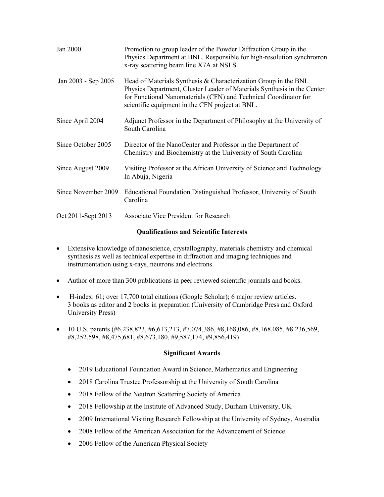| Jan 2000            | Promotion to group leader of the Powder Diffraction Group in the<br>Physics Department at BNL. Responsible for high-resolution synchrotron<br>x-ray scattering beam line X7A at NSLS.                                                                             |
|---------------------|-------------------------------------------------------------------------------------------------------------------------------------------------------------------------------------------------------------------------------------------------------------------|
| Jan 2003 - Sep 2005 | Head of Materials Synthesis & Characterization Group in the BNL<br>Physics Department, Cluster Leader of Materials Synthesis in the Center<br>for Functional Nanomaterials (CFN) and Technical Coordinator for<br>scientific equipment in the CFN project at BNL. |
| Since April 2004    | Adjunct Professor in the Department of Philosophy at the University of<br>South Carolina                                                                                                                                                                          |
| Since October 2005  | Director of the NanoCenter and Professor in the Department of<br>Chemistry and Biochemistry at the University of South Carolina                                                                                                                                   |
| Since August 2009   | Visiting Professor at the African University of Science and Technology<br>In Abuja, Nigeria                                                                                                                                                                       |
| Since November 2009 | Educational Foundation Distinguished Professor, University of South<br>Carolina                                                                                                                                                                                   |
| Oct 2011-Sept 2013  | <b>Associate Vice President for Research</b>                                                                                                                                                                                                                      |

## **Qualifications and Scientific Interests**

- Extensive knowledge of nanoscience, crystallography, materials chemistry and chemical synthesis as well as technical expertise in diffraction and imaging techniques and instrumentation using x-rays, neutrons and electrons.
- Author of more than 300 publications in peer reviewed scientific journals and books.
- H-index: 61; over 17,700 total citations (Google Scholar); 6 major review articles. 3 books as editor and 2 books in preparation (University of Cambridge Press and Oxford University Press)
- 10 U.S. patents (#6,238,823, #6,613,213, #7,074,386, #8,168,086, #8,168,085, #8.236,569, #8,252,598, #8,475,681, #8,673,180, #9,587,174, #9,856,419)

## **Significant Awards**

- 2019 Educational Foundation Award in Science, Mathematics and Engineering
- 2018 Carolina Trustee Professorship at the University of South Carolina
- 2018 Fellow of the Neutron Scattering Society of America
- 2018 Fellowship at the Institute of Advanced Study, Durham University, UK
- 2009 International Visiting Research Fellowship at the University of Sydney, Australia
- 2008 Fellow of the American Association for the Advancement of Science.
- 2006 Fellow of the American Physical Society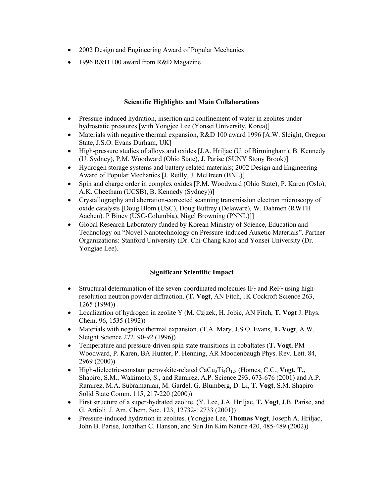- 2002 Design and Engineering Award of Popular Mechanics
- 1996 R&D 100 award from R&D Magazine

## **Scientific Highlights and Main Collaborations**

- Pressure-induced hydration, insertion and confinement of water in zeolites under hydrostatic pressures [with Yongjee Lee (Yonsei University, Korea)]
- Materials with negative thermal expansion, R&D 100 award 1996 [A.W. Sleight, Oregon State, J.S.O. Evans Durham, UK]
- High-pressure studies of alloys and oxides [J.A. Hriljac (U. of Birmingham), B. Kennedy (U. Sydney), P.M. Woodward (Ohio State), J. Parise (SUNY Stony Brook)]
- Hydrogen storage systems and battery related materials; 2002 Design and Engineering Award of Popular Mechanics [J. Reilly, J. McBreen (BNL)]
- Spin and charge order in complex oxides [P.M. Woodward (Ohio State), P. Karen (Oslo), A.K. Cheetham (UCSB), B. Kennedy (Sydney))]
- Crystallography and aberration-corrected scanning transmission electron microscopy of oxide catalysts [Doug Blom (USC), Doug Buttrey (Delaware), W. Dahmen (RWTH Aachen). P Binev (USC-Columbia), Nigel Browning (PNNL)]]
- Global Research Laboratory funded by Korean Ministry of Science, Education and Technology on "Novel Nanotechnology on Pressure-induced Auxetic Materials". Partner Organizations: Stanford University (Dr. Chi-Chang Kao) and Yonsei University (Dr. Yongjae Lee).

#### **Significant Scientific Impact**

- Structural determination of the seven-coordinated molecules IF<sub>7</sub> and ReF<sub>7</sub> using highresolution neutron powder diffraction. (**T. Vogt**, AN Fitch, JK Cockroft Science 263, 1265 (1994))
- Localization of hydrogen in zeolite Y (M. Czjzek, H. Jobic, AN Fitch, **T. Vogt** J. Phys. Chem. 96, 1535 (1992))
- Materials with negative thermal expansion. (T.A. Mary, J.S.O. Evans, **T. Vogt**, A.W. Sleight Science 272, 90-92 (1996))
- Temperature and pressure-driven spin state transitions in cobaltates (**T. Vogt**, PM Woodward, P. Karen, BA Hunter, P. Henning, AR Moodenbaugh Phys. Rev. Lett. 84, 2969 (2000))
- High-dielectric-constant perovskite-related CaCu<sub>3</sub>Ti<sub>4</sub>O<sub>12</sub>. (Homes, C.C., **Vogt, T.,** Shapiro, S.M., Wakimoto, S., and Ramirez, A.P. Science 293, 673-676 (2001) and A.P. Ramirez, M.A. Subramanian, M. Gardel, G. Blumberg, D. Li, **T. Vogt**, S.M. Shapiro Solid State Comm. 115, 217-220 (2000))
- First structure of a super-hydrated zeolite. (Y. Lee, J.A. Hriljac, **T. Vogt**, J.B. Parise, and G. Artioli J. Am. Chem. Soc. 123, 12732-12733 (2001))
- Pressure-induced hydration in zeolites. (Yongjae Lee, **Thomas Vogt**, Joseph A. Hriljac, John B. Parise, Jonathan C. Hanson, and Sun Jin Kim Nature 420, 485-489 (2002))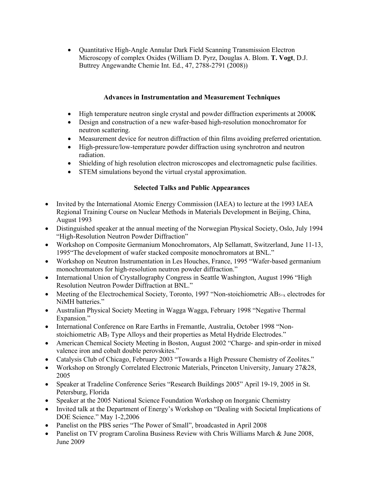• Quantitative High-Angle Annular Dark Field Scanning Transmission Electron Microscopy of complex Oxides (William D. Pyrz, Douglas A. Blom. **T. Vogt**, D.J. Buttrey Angewandte Chemie Int. Ed., 47, 2788-2791 (2008))

## **Advances in Instrumentation and Measurement Techniques**

- High temperature neutron single crystal and powder diffraction experiments at 2000K
- Design and construction of a new wafer-based high-resolution monochromator for neutron scattering.
- Measurement device for neutron diffraction of thin films avoiding preferred orientation.
- High-pressure/low-temperature powder diffraction using synchrotron and neutron radiation.
- Shielding of high resolution electron microscopes and electromagnetic pulse facilities.
- STEM simulations beyond the virtual crystal approximation.

## **Selected Talks and Public Appearances**

- Invited by the International Atomic Energy Commission (IAEA) to lecture at the 1993 IAEA Regional Training Course on Nuclear Methods in Materials Development in Beijing, China, August 1993
- Distinguished speaker at the annual meeting of the Norwegian Physical Society, Oslo, July 1994 "High-Resolution Neutron Powder Diffraction"
- Workshop on Composite Germanium Monochromators, Alp Sellamatt, Switzerland, June 11-13, 1995"The development of wafer stacked composite monochromators at BNL."
- Workshop on Neutron Instrumentation in Les Houches, France, 1995 "Wafer-based germanium monochromators for high-resolution neutron powder diffraction."
- International Union of Crystallography Congress in Seattle Washington, August 1996 "High Resolution Neutron Powder Diffraction at BNL."
- Meeting of the Electrochemical Society, Toronto, 1997 "Non-stoichiometric  $AB_{5+x}$  electrodes for NiMH batteries."
- Australian Physical Society Meeting in Wagga Wagga, February 1998 "Negative Thermal Expansion."
- International Conference on Rare Earths in Fremantle, Australia, October 1998 "Nonstoichiometric AB<sub>5</sub> Type Alloys and their properties as Metal Hydride Electrodes."
- American Chemical Society Meeting in Boston, August 2002 "Charge- and spin-order in mixed valence iron and cobalt double perovskites."
- Catalysis Club of Chicago, February 2003 "Towards a High Pressure Chemistry of Zeolites."
- Workshop on Strongly Correlated Electronic Materials, Princeton University, January 27&28, 2005
- Speaker at Tradeline Conference Series "Research Buildings 2005" April 19-19, 2005 in St. Petersburg, Florida
- Speaker at the 2005 National Science Foundation Workshop on Inorganic Chemistry
- Invited talk at the Department of Energy's Workshop on "Dealing with Societal Implications of DOE Science." May 1-2,2006
- Panelist on the PBS series "The Power of Small", broadcasted in April 2008
- Panelist on TV program Carolina Business Review with Chris Williams March & June 2008, June 2009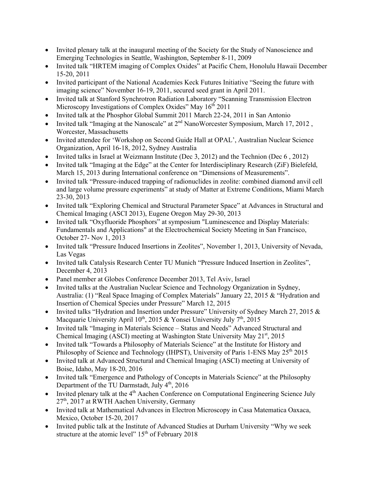- Invited plenary talk at the inaugural meeting of the Society for the Study of Nanoscience and Emerging Technologies in Seattle, Washington, September 8-11, 2009
- Invited talk "HRTEM imaging of Complex Oxides" at Pacific Chem, Honolulu Hawaii December 15-20, 2011
- Invited participant of the National Academies Keck Futures Initiative "Seeing the future with imaging science" November 16-19, 2011, secured seed grant in April 2011.
- Invited talk at Stanford Synchrotron Radiation Laboratory "Scanning Transmission Electron Microscopy Investigations of Complex Oxides" May 16<sup>th</sup> 2011
- Invited talk at the Phosphor Global Summit 2011 March 22-24, 2011 in San Antonio
- Invited talk "Imaging at the Nanoscale" at 2nd NanoWorcester Symposium, March 17, 2012 , Worcester, Massachusetts
- Invited attendee for 'Workshop on Second Guide Hall at OPAL', Australian Nuclear Science Organization, April 16-18, 2012, Sydney Australia
- Invited talks in Israel at Weizmann Institute (Dec 3, 2012) and the Technion (Dec 6 , 2012)
- Invited talk "Imaging at the Edge" at the Center for Interdisciplinary Research (ZiF) Bielefeld, March 15, 2013 during International conference on "Dimensions of Measurements".
- Invited talk "Pressure-induced trapping of radionuclides in zeolite: combined diamond anvil cell and large volume pressure experiments" at study of Matter at Extreme Conditions, Miami March 23-30, 2013
- Invited talk "Exploring Chemical and Structural Parameter Space" at Advances in Structural and Chemical Imaging (ASCI 2013), Eugene Oregon May 29-30, 2013
- Invited talk "Oxyfluoride Phosphors" at symposium "Luminescence and Display Materials: Fundamentals and Applications" at the Electrochemical Society Meeting in San Francisco, October 27- Nov 1, 2013
- Invited talk "Pressure Induced Insertions in Zeolites", November 1, 2013, University of Nevada, Las Vegas
- Invited talk Catalysis Research Center TU Munich "Pressure Induced Insertion in Zeolites", December 4, 2013
- Panel member at Globes Conference December 2013, Tel Aviv, Israel
- Invited talks at the Australian Nuclear Science and Technology Organization in Sydney, Australia: (1) "Real Space Imaging of Complex Materials" January 22, 2015 & "Hydration and Insertion of Chemical Species under Pressure" March 12, 2015
- Invited talks "Hydration and Insertion under Pressure" University of Sydney March 27, 2015 & Macquarie University April 10<sup>th</sup>, 2015 & Yonsei University July 7<sup>th</sup>, 2015
- Invited talk "Imaging in Materials Science Status and Needs" Advanced Structural and Chemical Imaging (ASCI) meeting at Washington State University May 21<sup>st</sup>, 2015
- Invited talk "Towards a Philosophy of Materials Science" at the Institute for History and Philosophy of Science and Technology (IHPST), University of Paris 1-ENS May  $25<sup>th</sup> 2015$
- Invited talk at Advanced Structural and Chemical Imaging (ASCI) meeting at University of Boise, Idaho, May 18-20, 2016
- Invited talk "Emergence and Pathology of Concepts in Materials Science" at the Philosophy Department of the TU Darmstadt, July 4<sup>th</sup>, 2016
- Invited plenary talk at the 4<sup>th</sup> Aachen Conference on Computational Engineering Science July 27th, 2017 at RWTH Aachen University, Germany
- Invited talk at Mathematical Advances in Electron Microscopy in Casa Matematica Oaxaca, Mexico, October 15-20, 2017
- Invited public talk at the Institute of Advanced Studies at Durham University "Why we seek structure at the atomic level"  $15<sup>th</sup>$  of February 2018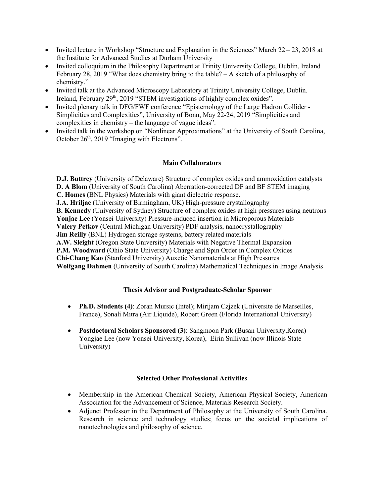- Invited lecture in Workshop "Structure and Explanation in the Sciences" March  $22 23$ , 2018 at the Institute for Advanced Studies at Durham University
- Invited colloquium in the Philosophy Department at Trinity University College, Dublin, Ireland February 28, 2019 "What does chemistry bring to the table? – A sketch of a philosophy of chemistry."
- Invited talk at the Advanced Microscopy Laboratory at Trinity University College, Dublin. Ireland, February 29<sup>th</sup>, 2019 "STEM investigations of highly complex oxides".
- Invited plenary talk in DFG/FWF conference "Epistemology of the Large Hadron Collider Simplicities and Complexities", University of Bonn, May 22-24, 2019 "Simplicities and complexities in chemistry – the language of vague ideas".
- Invited talk in the workshop on "Nonlinear Approximations" at the University of South Carolina, October 26<sup>th</sup>, 2019 "Imaging with Electrons".

## **Main Collaborators**

**D.J. Buttrey** (University of Delaware) Structure of complex oxides and ammoxidation catalysts **D. A Blom** (University of South Carolina) Aberration-corrected DF and BF STEM imaging **C. Homes (**BNL Physics) Materials with giant dielectric response. **J.A. Hriljac** (University of Birmingham, UK) High-pressure crystallography **B. Kennedy** (University of Sydney) Structure of complex oxides at high pressures using neutrons **Yonjae Lee** (Yonsei University) Pressure-induced insertion in Microporous Materials **Valery Petkov** (Central Michigan University) PDF analysis, nanocrystallography **Jim Reilly** (BNL) Hydrogen storage systems, battery related materials **A.W. Sleight** (Oregon State University) Materials with Negative Thermal Expansion **P.M. Woodward** (Ohio State University) Charge and Spin Order in Complex Oxides **Chi-Chang Kao** (Stanford University) Auxetic Nanomaterials at High Pressures **Wolfgang Dahmen** (University of South Carolina) Mathematical Techniques in Image Analysis

## **Thesis Advisor and Postgraduate-Scholar Sponsor**

- **Ph.D. Students (4)**: Zoran Mursic (Intel); Mirijam Czjzek (Universite de Marseilles, France), Sonali Mitra (Air Liquide), Robert Green (Florida International University)
- **Postdoctoral Scholars Sponsored (3)**: Sangmoon Park (Busan University,Korea) Yongjae Lee (now Yonsei University, Korea), Eirin Sullivan (now Illinois State University)

#### **Selected Other Professional Activities**

- Membership in the American Chemical Society, American Physical Society, American Association for the Advancement of Science, Materials Research Society.
- Adjunct Professor in the Department of Philosophy at the University of South Carolina. Research in science and technology studies; focus on the societal implications of nanotechnologies and philosophy of science.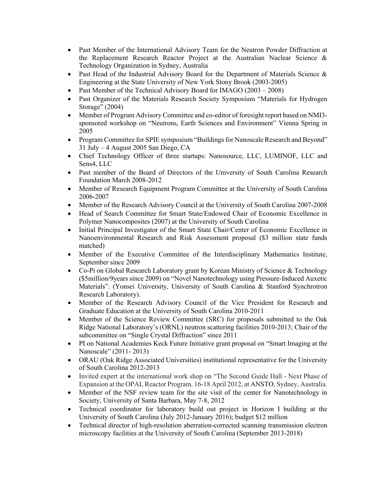- Past Member of the International Advisory Team for the Neutron Powder Diffraction at the Replacement Research Reactor Project at the Australian Nuclear Science & Technology Organization in Sydney, Australia
- Past Head of the Industrial Advisory Board for the Department of Materials Science & Engineering at the State University of New York Stony Brook (2003-2005)
- Past Member of the Technical Advisory Board for IMAGO (2003 2008)
- Past Organizer of the Materials Research Society Symposium "Materials for Hydrogen Storage" (2004)
- Member of Program Advisory Committee and co-editor of foresight report based on NMI3 sponsored workshop on "Neutrons, Earth Sciences and Environment" Vienna Spring in 2005
- Program Committee for SPIE symposium "Buildings for Nanoscale Research and Beyond" 31 July – 4 August 2005 San Diego, CA
- Chief Technology Officer of three startups: Nanosource, LLC, LUMINOF, LLC and Sens4, LLC
- Past member of the Board of Directors of the University of South Carolina Research Foundation March 2008-2012
- Member of Research Equipment Program Committee at the University of South Carolina 2006-2007
- Member of the Research Advisory Council at the University of South Carolina 2007-2008
- Head of Search Committee for Smart State/Endowed Chair of Economic Excellence in Polymer Nanocomposites (2007) at the University of South Carolina
- Initial Principal Investigator of the Smart State Chair/Center of Economic Excellence in Nanoenvironmental Research and Risk Assessment proposal (\$3 million state funds matched)
- Member of the Executive Committee of the Interdisciplinary Mathematics Institute, September since 2009
- Co-Pi on Global Research Laboratory grant by Korean Ministry of Science & Technology (\$5million/9years since 2009) on "Novel Nanotechnology using Pressure-Induced Auxetic Materials". (Yonsei University, University of South Carolina & Stanford Synchrotron Research Laboratory).
- Member of the Research Advisory Council of the Vice President for Research and Graduate Education at the University of South Carolina 2010-2011
- Member of the Science Review Committee (SRC) for proposals submitted to the Oak Ridge National Laboratory's (ORNL) neutron scattering facilities 2010-2013; Chair of the subcommittee on "Single Crystal Diffraction" since 2011
- PI on National Academies Keck Future Initiative grant proposal on "Smart Imaging at the Nanoscale" (2011- 2013)
- ORAU (Oak Ridge Associated Universities) institutional representative for the University of South Carolina 2012-2013
- Invited expert at the international work shop on "The Second Guide Hall Next Phase of Expansion at the OPAL Reactor Program. 16-18 April 2012, at ANSTO, Sydney, Australia.
- Member of the NSF review team for the site visit of the center for Nanotechnology in Society, University of Santa Barbara, May 7-8, 2012
- Technical coordinator for laboratory build out project in Horizon I building at the University of South Carolina (July 2012-January 2016); budget \$12 million
- Technical director of high-resolution aberration-corrected scanning transmission electron microscopy facilities at the University of South Carolina (September 2013-2018)